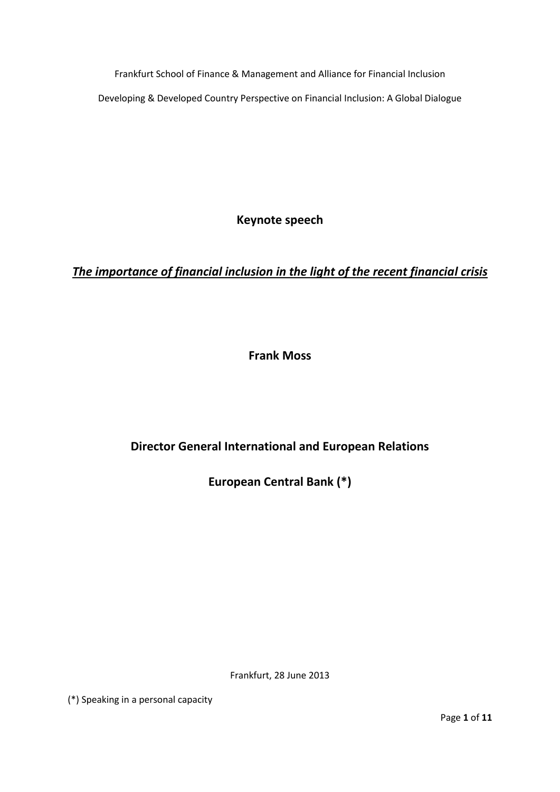Frankfurt School of Finance & Management and Alliance for Financial Inclusion Developing & Developed Country Perspective on Financial Inclusion: A Global Dialogue

**Keynote speech**

*The importance of financial inclusion in the light of the recent financial crisis*

**Frank Moss**

**Director General International and European Relations**

**European Central Bank (\*)**

Frankfurt, 28 June 2013

(\*) Speaking in a personal capacity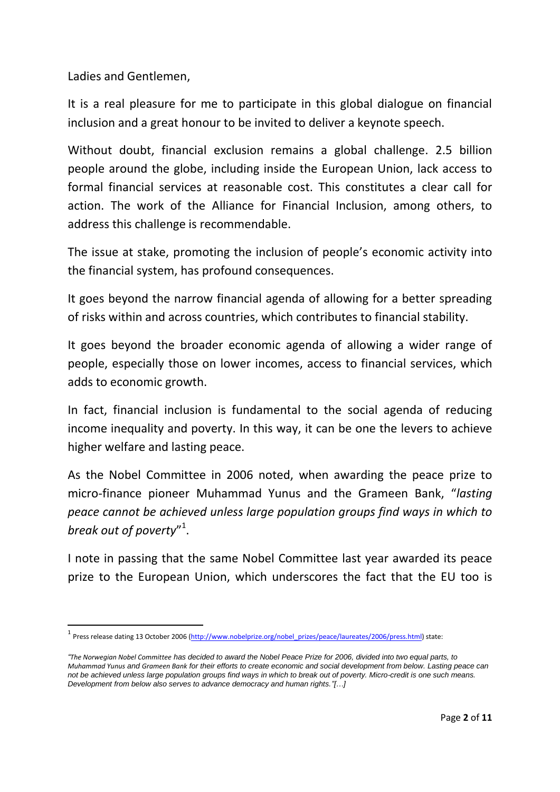Ladies and Gentlemen,

**.** 

It is a real pleasure for me to participate in this global dialogue on financial inclusion and a great honour to be invited to deliver a keynote speech.

Without doubt, financial exclusion remains a global challenge. 2.5 billion people around the globe, including inside the European Union, lack access to formal financial services at reasonable cost. This constitutes a clear call for action. The work of the Alliance for Financial Inclusion, among others, to address this challenge is recommendable.

The issue at stake, promoting the inclusion of people's economic activity into the financial system, has profound consequences.

It goes beyond the narrow financial agenda of allowing for a better spreading of risks within and across countries, which contributes to financial stability.

It goes beyond the broader economic agenda of allowing a wider range of people, especially those on lower incomes, access to financial services, which adds to economic growth.

In fact, financial inclusion is fundamental to the social agenda of reducing income inequality and poverty. In this way, it can be one the levers to achieve higher welfare and lasting peace.

As the Nobel Committee in 2006 noted, when awarding the peace prize to micro-finance pioneer Muhammad Yunus and the Grameen Bank, "*lasting peace cannot be achieved unless large population groups find ways in which to break out of poverty*" 1 .

I note in passing that the same Nobel Committee last year awarded its peace prize to the European Union, which underscores the fact that the EU too is

<sup>1&</sup>lt;br>Press release dating 13 October 2006 [\(http://www.nobelprize.org/nobel\\_prizes/peace/laureates/2006/press.html\)](http://www.nobelprize.org/nobel_prizes/peace/laureates/2006/press.html) state:

*<sup>&</sup>quot;[The Norwegian Nobel Committee](http://www.nobelprize.org/redirect/links_out/prizeawarder.php?from=/nobel_prizes/peace/laureates/2005/press.html&object=nobelpeaceprize.org&to=http://nobelpeaceprize.org/) has decided to award the Nobel Peace Prize for 2006, divided into two equal parts, to Muhammad Yunus and Grameen Bank for their efforts to create economic and social development from below. Lasting peace can not be achieved unless large population groups find ways in which to break out of poverty. Micro-credit is one such means. Development from below also serves to advance democracy and human rights."[…]*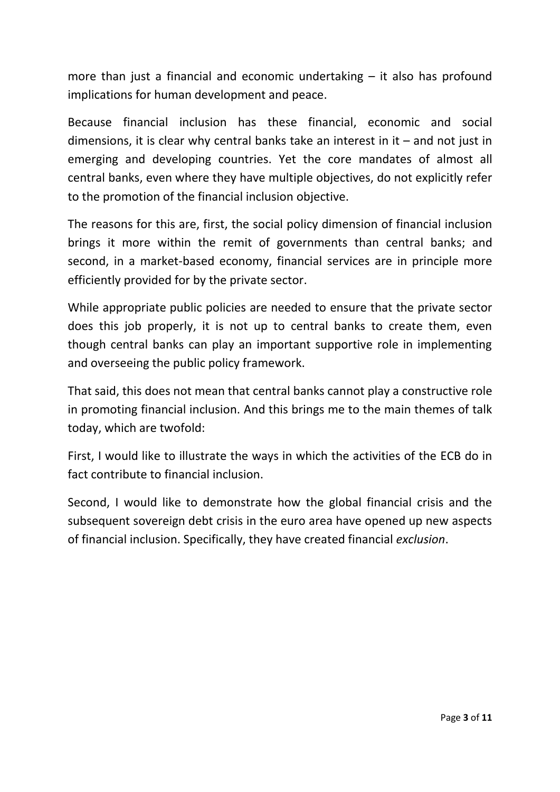more than just a financial and economic undertaking – it also has profound implications for human development and peace.

Because financial inclusion has these financial, economic and social dimensions, it is clear why central banks take an interest in it – and not just in emerging and developing countries. Yet the core mandates of almost all central banks, even where they have multiple objectives, do not explicitly refer to the promotion of the financial inclusion objective.

The reasons for this are, first, the social policy dimension of financial inclusion brings it more within the remit of governments than central banks; and second, in a market-based economy, financial services are in principle more efficiently provided for by the private sector.

While appropriate public policies are needed to ensure that the private sector does this job properly, it is not up to central banks to create them, even though central banks can play an important supportive role in implementing and overseeing the public policy framework.

That said, this does not mean that central banks cannot play a constructive role in promoting financial inclusion. And this brings me to the main themes of talk today, which are twofold:

First, I would like to illustrate the ways in which the activities of the ECB do in fact contribute to financial inclusion.

Second, I would like to demonstrate how the global financial crisis and the subsequent sovereign debt crisis in the euro area have opened up new aspects of financial inclusion. Specifically, they have created financial *exclusion*.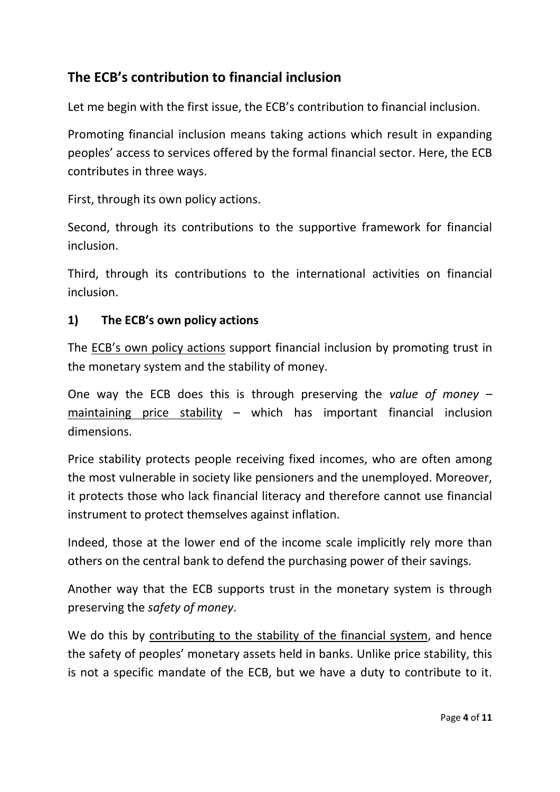# **The ECB's contribution to financial inclusion**

Let me begin with the first issue, the ECB's contribution to financial inclusion.

Promoting financial inclusion means taking actions which result in expanding peoples' access to services offered by the formal financial sector. Here, the ECB contributes in three ways.

First, through its own policy actions.

Second, through its contributions to the supportive framework for financial inclusion.

Third, through its contributions to the international activities on financial inclusion.

#### **1) The ECB's own policy actions**

The ECB's own policy actions support financial inclusion by promoting trust in the monetary system and the stability of money.

One way the ECB does this is through preserving the *value of money* – maintaining price stability – which has important financial inclusion dimensions.

Price stability protects people receiving fixed incomes, who are often among the most vulnerable in society like pensioners and the unemployed. Moreover, it protects those who lack financial literacy and therefore cannot use financial instrument to protect themselves against inflation.

Indeed, those at the lower end of the income scale implicitly rely more than others on the central bank to defend the purchasing power of their savings.

Another way that the ECB supports trust in the monetary system is through preserving the *safety of money*.

We do this by contributing to the stability of the financial system, and hence the safety of peoples' monetary assets held in banks. Unlike price stability, this is not a specific mandate of the ECB, but we have a duty to contribute to it.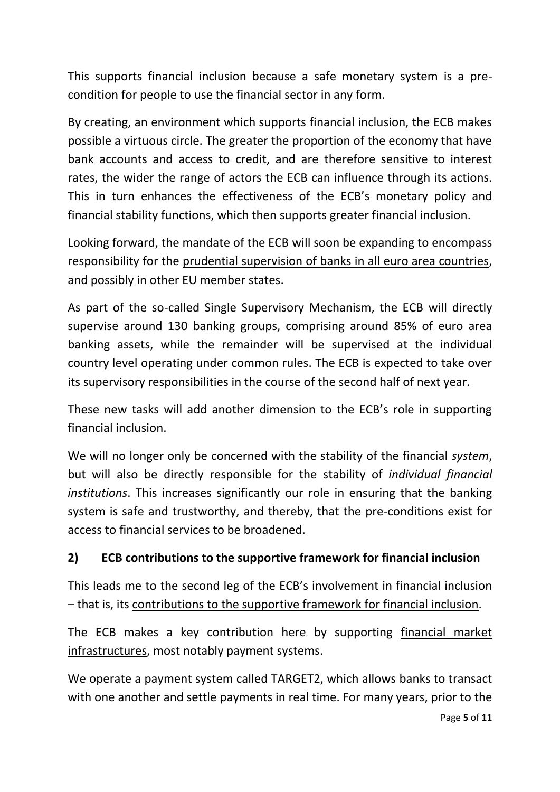This supports financial inclusion because a safe monetary system is a precondition for people to use the financial sector in any form.

By creating, an environment which supports financial inclusion, the ECB makes possible a virtuous circle. The greater the proportion of the economy that have bank accounts and access to credit, and are therefore sensitive to interest rates, the wider the range of actors the ECB can influence through its actions. This in turn enhances the effectiveness of the ECB's monetary policy and financial stability functions, which then supports greater financial inclusion.

Looking forward, the mandate of the ECB will soon be expanding to encompass responsibility for the prudential supervision of banks in all euro area countries, and possibly in other EU member states.

As part of the so-called Single Supervisory Mechanism, the ECB will directly supervise around 130 banking groups, comprising around 85% of euro area banking assets, while the remainder will be supervised at the individual country level operating under common rules. The ECB is expected to take over its supervisory responsibilities in the course of the second half of next year.

These new tasks will add another dimension to the ECB's role in supporting financial inclusion.

We will no longer only be concerned with the stability of the financial *system*, but will also be directly responsible for the stability of *individual financial institutions*. This increases significantly our role in ensuring that the banking system is safe and trustworthy, and thereby, that the pre-conditions exist for access to financial services to be broadened.

#### **2) ECB contributions to the supportive framework for financial inclusion**

This leads me to the second leg of the ECB's involvement in financial inclusion – that is, its contributions to the supportive framework for financial inclusion.

The ECB makes a key contribution here by supporting financial market infrastructures, most notably payment systems.

We operate a payment system called TARGET2, which allows banks to transact with one another and settle payments in real time. For many years, prior to the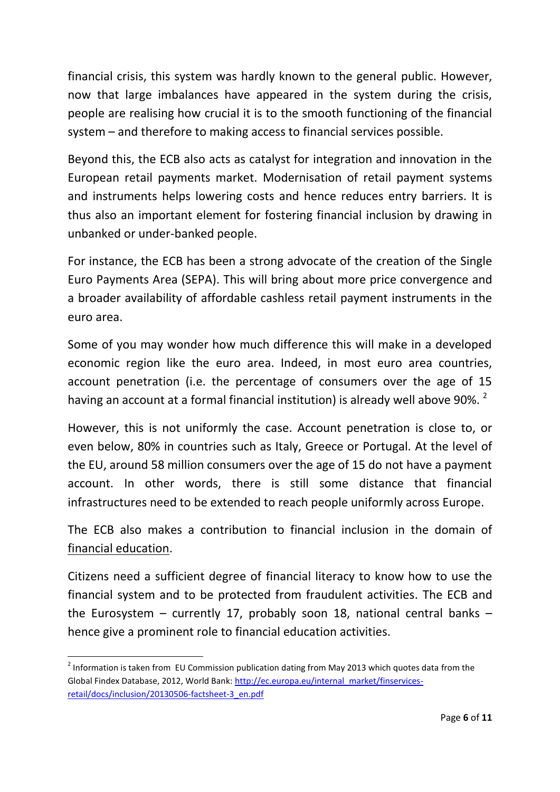financial crisis, this system was hardly known to the general public. However, now that large imbalances have appeared in the system during the crisis, people are realising how crucial it is to the smooth functioning of the financial system – and therefore to making access to financial services possible.

Beyond this, the ECB also acts as catalyst for integration and innovation in the European retail payments market. Modernisation of retail payment systems and instruments helps lowering costs and hence reduces entry barriers. It is thus also an important element for fostering financial inclusion by drawing in unbanked or under-banked people.

For instance, the ECB has been a strong advocate of the creation of the Single Euro Payments Area (SEPA). This will bring about more price convergence and a broader availability of affordable cashless retail payment instruments in the euro area.

Some of you may wonder how much difference this will make in a developed economic region like the euro area. Indeed, in most euro area countries, account penetration (i.e. the percentage of consumers over the age of 15 having an account at a formal financial institution) is already well above 90%.<sup>2</sup>

However, this is not uniformly the case. Account penetration is close to, or even below, 80% in countries such as Italy, Greece or Portugal. At the level of the EU, around 58 million consumers over the age of 15 do not have a payment account. In other words, there is still some distance that financial infrastructures need to be extended to reach people uniformly across Europe.

The ECB also makes a contribution to financial inclusion in the domain of financial education.

Citizens need a sufficient degree of financial literacy to know how to use the financial system and to be protected from fraudulent activities. The ECB and the Eurosystem – currently 17, probably soon 18, national central banks – hence give a prominent role to financial education activities.

1

 $2$  Information is taken from EU Commission publication dating from May 2013 which quotes data from the Global Findex Database, 2012, World Bank[: http://ec.europa.eu/internal\\_market/finservices](http://ec.europa.eu/internal_market/finservices-retail/docs/inclusion/20130506-factsheet-3_en.pdf)[retail/docs/inclusion/20130506-factsheet-3\\_en.pdf](http://ec.europa.eu/internal_market/finservices-retail/docs/inclusion/20130506-factsheet-3_en.pdf)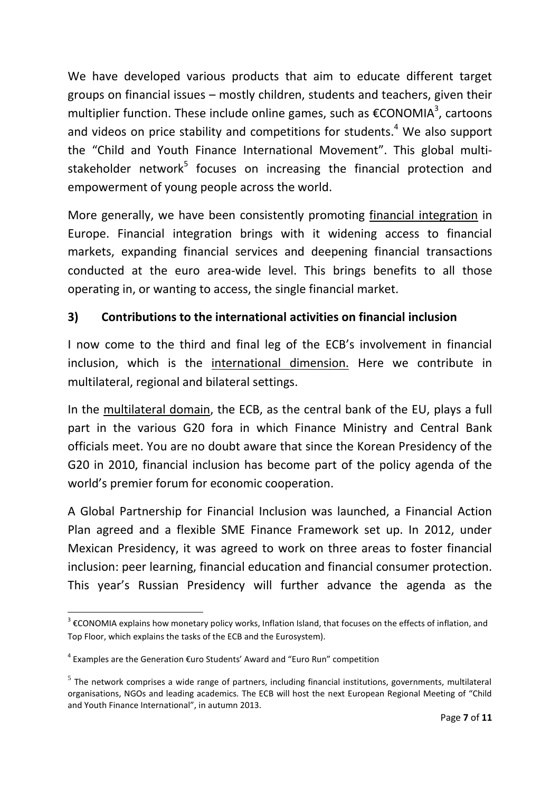We have developed various products that aim to educate different target groups on financial issues – mostly children, students and teachers, given their multiplier function. These include online games, such as [€CONOMIA](http://www.ecb.europa.eu/ecb/educational/economia/html/index.en.html)<sup>3</sup>, cartoons and videos on price stability and competitions for students.<sup>4</sup> We also support the "Child and Youth Finance International Movement". This global multistakeholder network<sup>5</sup> focuses on increasing the financial protection and empowerment of young people across the world.

More generally, we have been consistently promoting financial integration in Europe. Financial integration brings with it widening access to financial markets, expanding financial services and deepening financial transactions conducted at the euro area-wide level. This brings benefits to all those operating in, or wanting to access, the single financial market.

### **3) Contributions to the international activities on financial inclusion**

I now come to the third and final leg of the ECB's involvement in financial inclusion, which is the international dimension. Here we contribute in multilateral, regional and bilateral settings.

In the multilateral domain, the ECB, as the central bank of the EU, plays a full part in the various G20 fora in which Finance Ministry and Central Bank officials meet. You are no doubt aware that since the Korean Presidency of the G20 in 2010, financial inclusion has become part of the policy agenda of the world's premier forum for economic cooperation.

A Global Partnership for Financial Inclusion was launched, a Financial Action Plan agreed and a flexible SME Finance Framework set up. In 2012, under Mexican Presidency, it was agreed to work on three areas to foster financial inclusion: peer learning, financial education and financial consumer protection. This year's Russian Presidency will further advance the agenda as the

**.** 

 $3 \epsilon$ CONOMIA explains how monetary policy works, Inflation Island, that focuses on the effects of inflation, and Top Floor, which explains the tasks of the ECB and the Eurosystem).

<sup>&</sup>lt;sup>4</sup> Examples are the [Generation €uro Students' Award](http://www.ecb.europa.eu/ecb/educational/award/html/index.en.html) and "Euro Run" competition

 $<sup>5</sup>$  The network comprises a wide range of partners, including financial institutions, governments, multilateral</sup> organisations, NGOs and leading academics. The ECB will host the next European Regional Meeting of "Child and Youth Finance International", in autumn 2013.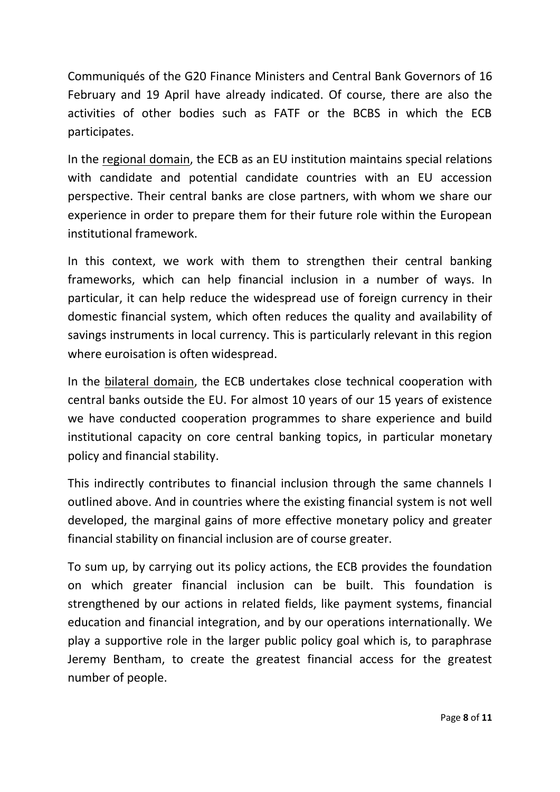Communiqués of the G20 Finance Ministers and Central Bank Governors of 16 February and 19 April have already indicated. Of course, there are also the activities of other bodies such as FATF or the BCBS in which the ECB participates.

In the regional domain, the ECB as an EU institution maintains special relations with candidate and potential candidate countries with an EU accession perspective. Their central banks are close partners, with whom we share our experience in order to prepare them for their future role within the European institutional framework.

In this context, we work with them to strengthen their central banking frameworks, which can help financial inclusion in a number of ways. In particular, it can help reduce the widespread use of foreign currency in their domestic financial system, which often reduces the quality and availability of savings instruments in local currency. This is particularly relevant in this region where euroisation is often widespread.

In the bilateral domain, the ECB undertakes close technical cooperation with central banks outside the EU. For almost 10 years of our 15 years of existence we have conducted cooperation programmes to share experience and build institutional capacity on core central banking topics, in particular monetary policy and financial stability.

This indirectly contributes to financial inclusion through the same channels I outlined above. And in countries where the existing financial system is not well developed, the marginal gains of more effective monetary policy and greater financial stability on financial inclusion are of course greater.

To sum up, by carrying out its policy actions, the ECB provides the foundation on which greater financial inclusion can be built. This foundation is strengthened by our actions in related fields, like payment systems, financial education and financial integration, and by our operations internationally. We play a supportive role in the larger public policy goal which is, to paraphrase Jeremy Bentham, to create the greatest financial access for the greatest number of people.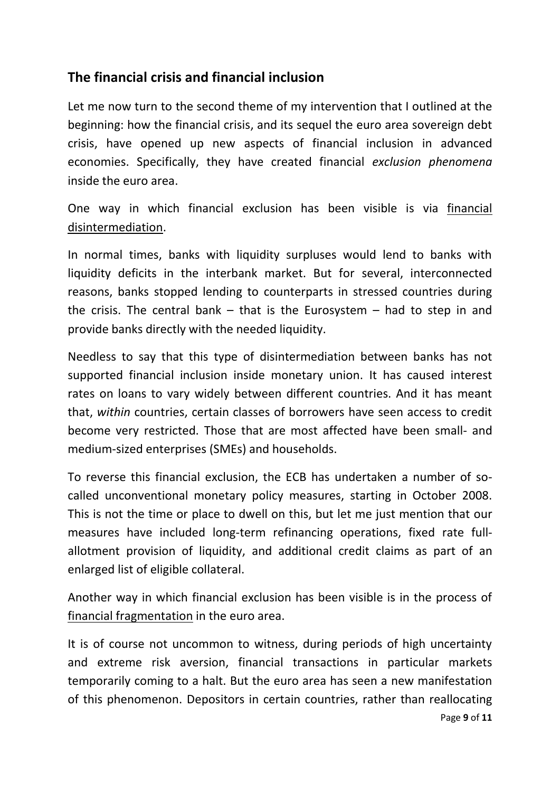## **The financial crisis and financial inclusion**

Let me now turn to the second theme of my intervention that I outlined at the beginning: how the financial crisis, and its sequel the euro area sovereign debt crisis, have opened up new aspects of financial inclusion in advanced economies. Specifically, they have created financial *exclusion phenomena* inside the euro area.

One way in which financial exclusion has been visible is via financial disintermediation.

In normal times, banks with liquidity surpluses would lend to banks with liquidity deficits in the interbank market. But for several, interconnected reasons, banks stopped lending to counterparts in stressed countries during the crisis. The central bank  $-$  that is the Eurosystem  $-$  had to step in and provide banks directly with the needed liquidity.

Needless to say that this type of disintermediation between banks has not supported financial inclusion inside monetary union. It has caused interest rates on loans to vary widely between different countries. And it has meant that, *within* countries, certain classes of borrowers have seen access to credit become very restricted. Those that are most affected have been small- and medium-sized enterprises (SMEs) and households.

To reverse this financial exclusion, the ECB has undertaken a number of socalled unconventional monetary policy measures, starting in October 2008. This is not the time or place to dwell on this, but let me just mention that our measures have included long-term refinancing operations, fixed rate fullallotment provision of liquidity, and additional credit claims as part of an enlarged list of eligible collateral.

Another way in which financial exclusion has been visible is in the process of financial fragmentation in the euro area.

It is of course not uncommon to witness, during periods of high uncertainty and extreme risk aversion, financial transactions in particular markets temporarily coming to a halt. But the euro area has seen a new manifestation of this phenomenon. Depositors in certain countries, rather than reallocating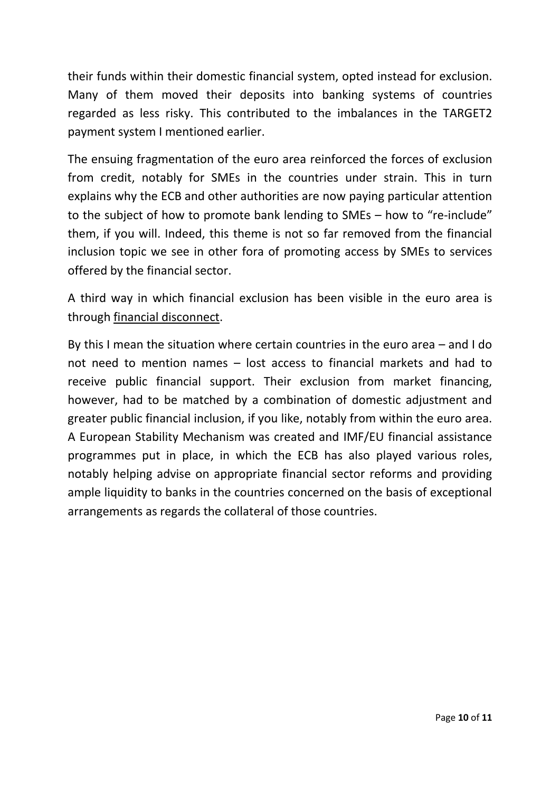their funds within their domestic financial system, opted instead for exclusion. Many of them moved their deposits into banking systems of countries regarded as less risky. This contributed to the imbalances in the TARGET2 payment system I mentioned earlier.

The ensuing fragmentation of the euro area reinforced the forces of exclusion from credit, notably for SMEs in the countries under strain. This in turn explains why the ECB and other authorities are now paying particular attention to the subject of how to promote bank lending to SMEs – how to "re-include" them, if you will. Indeed, this theme is not so far removed from the financial inclusion topic we see in other fora of promoting access by SMEs to services offered by the financial sector.

A third way in which financial exclusion has been visible in the euro area is through financial disconnect.

By this I mean the situation where certain countries in the euro area – and I do not need to mention names – lost access to financial markets and had to receive public financial support. Their exclusion from market financing, however, had to be matched by a combination of domestic adjustment and greater public financial inclusion, if you like, notably from within the euro area. A European Stability Mechanism was created and IMF/EU financial assistance programmes put in place, in which the ECB has also played various roles, notably helping advise on appropriate financial sector reforms and providing ample liquidity to banks in the countries concerned on the basis of exceptional arrangements as regards the collateral of those countries.